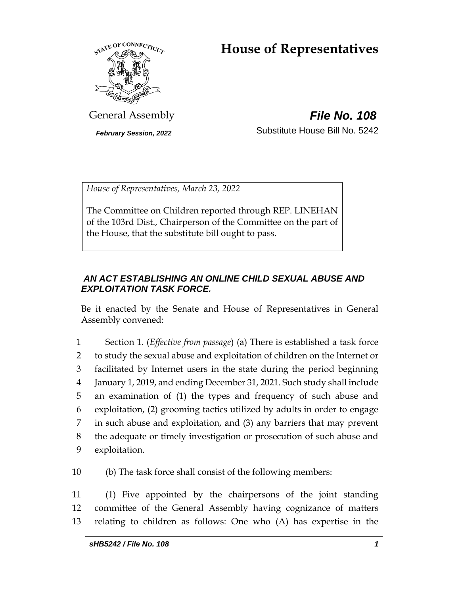# **House of Representatives**



General Assembly *File No. 108*

*February Session, 2022* Substitute House Bill No. 5242

*House of Representatives, March 23, 2022*

The Committee on Children reported through REP. LINEHAN of the 103rd Dist., Chairperson of the Committee on the part of the House, that the substitute bill ought to pass.

# *AN ACT ESTABLISHING AN ONLINE CHILD SEXUAL ABUSE AND EXPLOITATION TASK FORCE.*

Be it enacted by the Senate and House of Representatives in General Assembly convened:

 Section 1. (*Effective from passage*) (a) There is established a task force to study the sexual abuse and exploitation of children on the Internet or facilitated by Internet users in the state during the period beginning January 1, 2019, and ending December 31, 2021. Such study shall include an examination of (1) the types and frequency of such abuse and exploitation, (2) grooming tactics utilized by adults in order to engage in such abuse and exploitation, and (3) any barriers that may prevent the adequate or timely investigation or prosecution of such abuse and exploitation.

10 (b) The task force shall consist of the following members:

11 (1) Five appointed by the chairpersons of the joint standing 12 committee of the General Assembly having cognizance of matters 13 relating to children as follows: One who (A) has expertise in the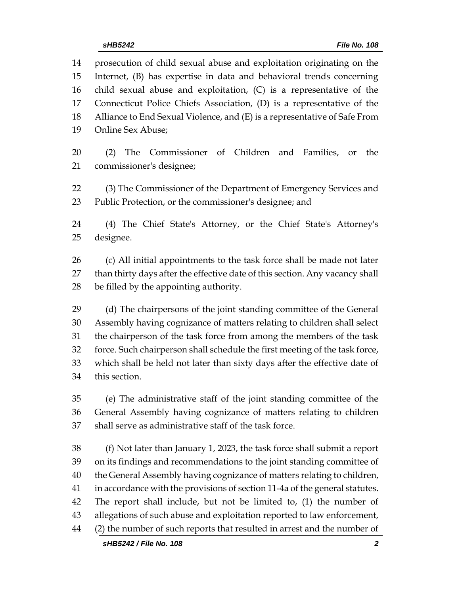| 14 | prosecution of child sexual abuse and exploitation originating on the        |  |  |
|----|------------------------------------------------------------------------------|--|--|
| 15 | Internet, (B) has expertise in data and behavioral trends concerning         |  |  |
| 16 | child sexual abuse and exploitation, (C) is a representative of the          |  |  |
| 17 | Connecticut Police Chiefs Association, (D) is a representative of the        |  |  |
| 18 | Alliance to End Sexual Violence, and (E) is a representative of Safe From    |  |  |
| 19 | Online Sex Abuse;                                                            |  |  |
| 20 | Commissioner of Children and Families, or the<br>(2)<br>The                  |  |  |
| 21 | commissioner's designee;                                                     |  |  |
| 22 | (3) The Commissioner of the Department of Emergency Services and             |  |  |
| 23 | Public Protection, or the commissioner's designee; and                       |  |  |
| 24 | (4) The Chief State's Attorney, or the Chief State's Attorney's              |  |  |
| 25 | designee.                                                                    |  |  |
| 26 | (c) All initial appointments to the task force shall be made not later       |  |  |
| 27 | than thirty days after the effective date of this section. Any vacancy shall |  |  |
| 28 | be filled by the appointing authority.                                       |  |  |
| 29 | (d) The chairpersons of the joint standing committee of the General          |  |  |
| 30 | Assembly having cognizance of matters relating to children shall select      |  |  |
| 31 | the chairperson of the task force from among the members of the task         |  |  |
| 32 | force. Such chairperson shall schedule the first meeting of the task force,  |  |  |
| 33 | which shall be held not later than sixty days after the effective date of    |  |  |
| 34 | this section.                                                                |  |  |
| 35 | (e) The administrative staff of the joint standing committee of the          |  |  |
| 36 | General Assembly having cognizance of matters relating to children           |  |  |
| 37 | shall serve as administrative staff of the task force.                       |  |  |
| 38 | (f) Not later than January 1, 2023, the task force shall submit a report     |  |  |
| 39 | on its findings and recommendations to the joint standing committee of       |  |  |
| 40 | the General Assembly having cognizance of matters relating to children,      |  |  |
| 41 | in accordance with the provisions of section 11-4a of the general statutes.  |  |  |
| 42 | The report shall include, but not be limited to, (1) the number of           |  |  |
| 43 | allegations of such abuse and exploitation reported to law enforcement,      |  |  |
| 44 | (2) the number of such reports that resulted in arrest and the number of     |  |  |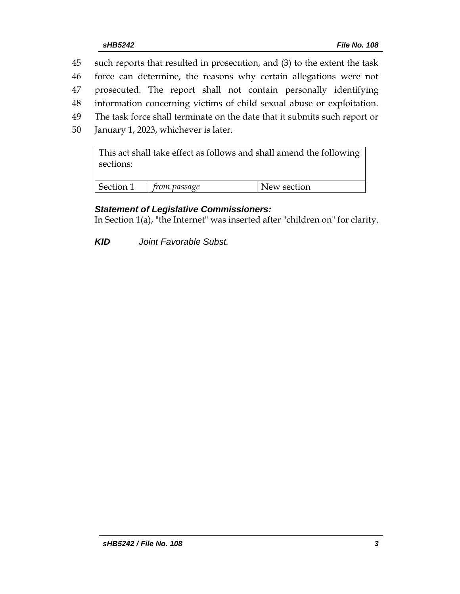- 45 such reports that resulted in prosecution, and (3) to the extent the task
- 46 force can determine, the reasons why certain allegations were not
- 47 prosecuted. The report shall not contain personally identifying
- 48 information concerning victims of child sexual abuse or exploitation.
- 49 The task force shall terminate on the date that it submits such report or
- 50 January 1, 2023, whichever is later.

This act shall take effect as follows and shall amend the following sections:

| Section 1 | rom passage<br>$+r$ | ъ<br>lew section |
|-----------|---------------------|------------------|

# *Statement of Legislative Commissioners:*

In Section 1(a), "the Internet" was inserted after "children on" for clarity.

*KID Joint Favorable Subst.*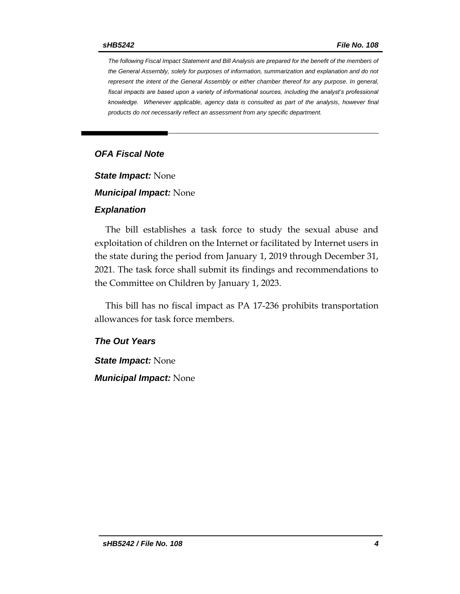*The following Fiscal Impact Statement and Bill Analysis are prepared for the benefit of the members of the General Assembly, solely for purposes of information, summarization and explanation and do not represent the intent of the General Assembly or either chamber thereof for any purpose. In general,*  fiscal impacts are based upon a variety of informational sources, including the analyst's professional *knowledge. Whenever applicable, agency data is consulted as part of the analysis, however final products do not necessarily reflect an assessment from any specific department.*

## *OFA Fiscal Note*

*State Impact:* None

*Municipal Impact:* None

#### *Explanation*

The bill establishes a task force to study the sexual abuse and exploitation of children on the Internet or facilitated by Internet users in the state during the period from January 1, 2019 through December 31, 2021. The task force shall submit its findings and recommendations to the Committee on Children by January 1, 2023.

This bill has no fiscal impact as PA 17-236 prohibits transportation allowances for task force members.

#### *The Out Years*

*State Impact:* None *Municipal Impact:* None